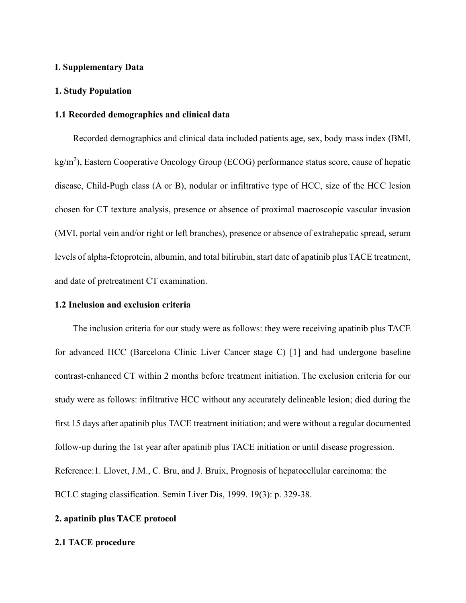## **I. Supplementary Data**

#### **1. Study Population**

#### **1.1 Recorded demographics and clinical data**

Recorded demographics and clinical data included patients age, sex, body mass index (BMI, kg/m<sup>2</sup>), Eastern Cooperative Oncology Group (ECOG) performance status score, cause of hepatic disease, Child-Pugh class (A or B), nodular or infiltrative type of HCC, size of the HCC lesion chosen for CT texture analysis, presence or absence of proximal macroscopic vascular invasion (MVI, portal vein and/or right or left branches), presence or absence of extrahepatic spread, serum levels of alpha-fetoprotein, albumin, and total bilirubin, start date of apatinib plus TACE treatment, and date of pretreatment CT examination.

#### **1.2 Inclusion and exclusion criteria**

The inclusion criteria for our study were as follows: they were receiving apatinib plus TACE for advanced HCC (Barcelona Clinic Liver Cancer stage C) [1] and had undergone baseline contrast-enhanced CT within 2 months before treatment initiation. The exclusion criteria for our study were as follows: infiltrative HCC without any accurately delineable lesion; died during the first 15 days after apatinib plus TACE treatment initiation; and were without a regular documented follow-up during the 1st year after apatinib plus TACE initiation or until disease progression. Reference:1. Llovet, J.M., C. Bru, and J. Bruix, Prognosis of hepatocellular carcinoma: the BCLC staging classification. Semin Liver Dis, 1999. 19(3): p. 329-38.

#### **2. apatinib plus TACE protocol**

#### **2.1 TACE procedure**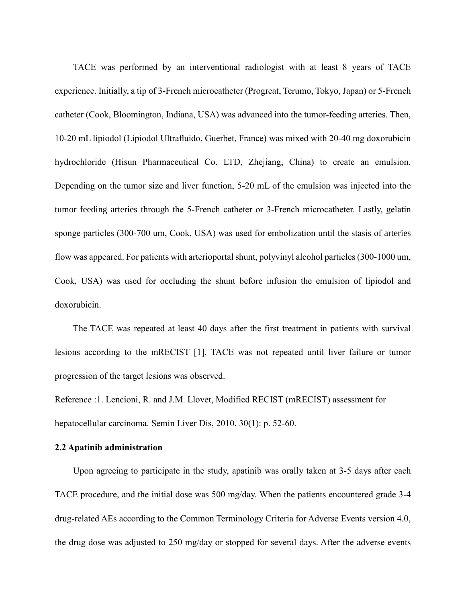TACE was performed by an interventional radiologist with at least 8 years of TACE experience. Initially, a tip of 3-French microcatheter (Progreat, Terumo, Tokyo, Japan) or 5-French catheter (Cook, Bloomington, Indiana, USA) was advanced into the tumor-feeding arteries. Then, 10-20 mL lipiodol (Lipiodol Ultrafluido, Guerbet, France) was mixed with 20-40 mg doxorubicin hydrochloride (Hisun Pharmaceutical Co. LTD, Zhejiang, China) to create an emulsion. Depending on the tumor size and liver function, 5-20 mL of the emulsion was injected into the tumor feeding arteries through the 5-French catheter or 3-French microcatheter. Lastly, gelatin sponge particles (300-700 um, Cook, USA) was used for embolization until the stasis of arteries flow was appeared. For patients with arterioportal shunt, polyvinyl alcohol particles (300-1000 um, Cook, USA) was used for occluding the shunt before infusion the emulsion of lipiodol and doxorubicin.

The TACE was repeated at least 40 days after the first treatment in patients with survival lesions according to the mRECIST [1], TACE was not repeated until liver failure or tumor progression of the target lesions was observed.

Reference :1. Lencioni, R. and J.M. Llovet, Modified RECIST (mRECIST) assessment for hepatocellular carcinoma. Semin Liver Dis, 2010. 30(1): p. 52-60.

## **2.2 Apatinib administration**

Upon agreeing to participate in the study, apatinib was orally taken at 3-5 days after each TACE procedure, and the initial dose was 500 mg/day. When the patients encountered grade 3-4 drug-related AEs according to the Common Terminology Criteria for Adverse Events version 4.0, the drug dose was adjusted to 250 mg/day or stopped for several days. After the adverse events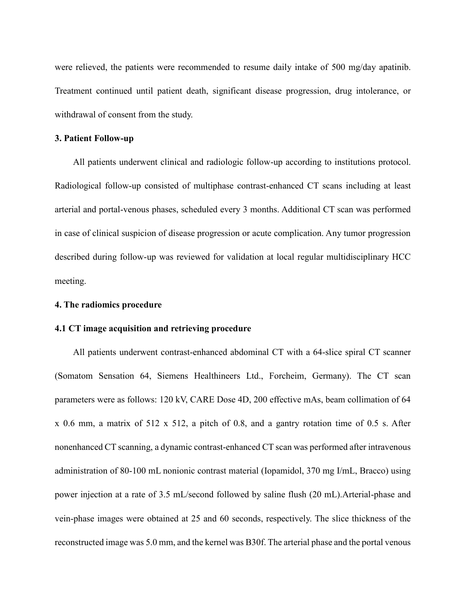were relieved, the patients were recommended to resume daily intake of 500 mg/day apatinib. Treatment continued until patient death, significant disease progression, drug intolerance, or withdrawal of consent from the study.

#### **3. Patient Follow-up**

All patients underwent clinical and radiologic follow-up according to institutions protocol. Radiological follow-up consisted of multiphase contrast-enhanced CT scans including at least arterial and portal-venous phases, scheduled every 3 months. Additional CT scan was performed in case of clinical suspicion of disease progression or acute complication. Any tumor progression described during follow-up was reviewed for validation at local regular multidisciplinary HCC meeting.

#### **4. The radiomics procedure**

#### **4.1 CT image acquisition and retrieving procedure**

All patients underwent contrast-enhanced abdominal CT with a 64-slice spiral CT scanner (Somatom Sensation 64, Siemens Healthineers Ltd., Forcheim, Germany). The CT scan parameters were as follows: 120 kV, CARE Dose 4D, 200 effective mAs, beam collimation of 64 x 0.6 mm, a matrix of 512 x 512, a pitch of 0.8, and a gantry rotation time of 0.5 s. After nonenhanced CT scanning, a dynamic contrast-enhanced CT scan was performed after intravenous administration of 80-100 mL nonionic contrast material (Iopamidol, 370 mg I/mL, Bracco) using power injection at a rate of 3.5 mL/second followed by saline flush (20 mL).Arterial-phase and vein-phase images were obtained at 25 and 60 seconds, respectively. The slice thickness of the reconstructed image was 5.0 mm, and the kernel was B30f. The arterial phase and the portal venous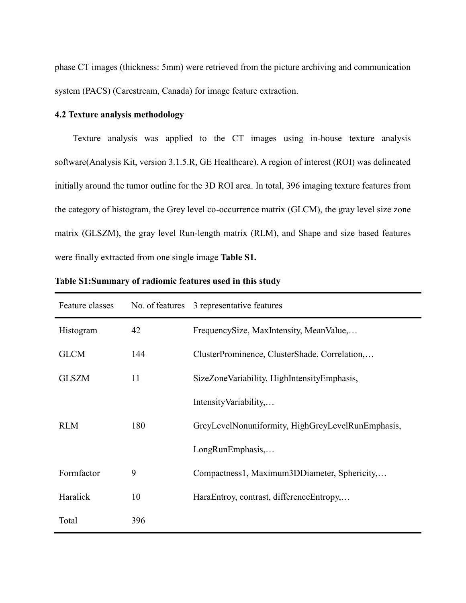phase CT images (thickness: 5mm) were retrieved from the picture archiving and communication system (PACS) (Carestream, Canada) for image feature extraction.

## **4.2 Texture analysis methodology**

Texture analysis was applied to the CT images using in-house texture analysis software(Analysis Kit, version 3.1.5.R, GE Healthcare). A region of interest (ROI) was delineated initially around the tumor outline for the 3D ROI area. In total, 396 imaging texture features from the category of histogram, the Grey level co-occurrence matrix (GLCM), the gray level size zone matrix (GLSZM), the gray level Run-length matrix (RLM), and Shape and size based features were finally extracted from one single image **Table S1.**

| Feature classes |     | No. of features 3 representative features         |
|-----------------|-----|---------------------------------------------------|
| Histogram       | 42  | FrequencySize, MaxIntensity, MeanValue,           |
| <b>GLCM</b>     | 144 | ClusterProminence, ClusterShade, Correlation,     |
| <b>GLSZM</b>    | 11  | SizeZoneVariability, HighIntensityEmphasis,       |
|                 |     | Intensity Variability,                            |
| <b>RLM</b>      | 180 | GreyLevelNonuniformity, HighGreyLevelRunEmphasis, |
|                 |     | LongRunEmphasis,                                  |
| Formfactor      | 9   | Compactness1, Maximum3DDiameter, Sphericity,      |
| Haralick        | 10  | HaraEntroy, contrast, differenceEntropy,          |
| Total           | 396 |                                                   |

**Table S1:Summary of radiomic features used in this study**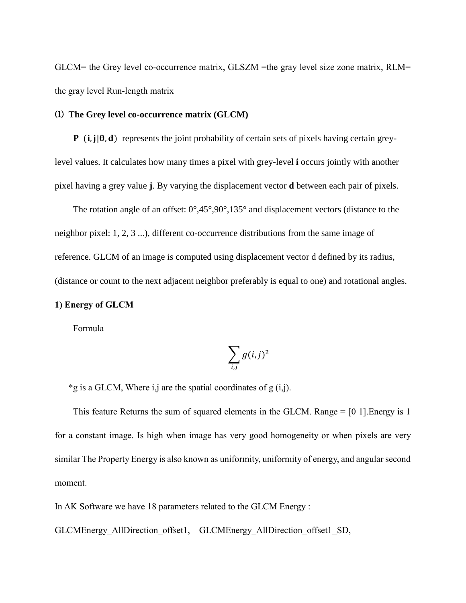GLCM= the Grey level co-occurrence matrix, GLSZM =the gray level size zone matrix, RLM= the gray level Run-length matrix

## ⑴ **The Grey level co-occurrence matrix (GLCM)**

 $P$  (i,  $j | \theta, d$ ) represents the joint probability of certain sets of pixels having certain greylevel values. It calculates how many times a pixel with grey-level **i** occurs jointly with another pixel having a grey value **j**. By varying the displacement vector **d** between each pair of pixels.

The rotation angle of an offset:  $0^\circ$ ,45 $^\circ$ ,90 $^\circ$ ,135 $^\circ$  and displacement vectors (distance to the neighbor pixel: 1, 2, 3 ...), different co-occurrence distributions from the same image of reference. GLCM of an image is computed using displacement vector d defined by its radius, (distance or count to the next adjacent neighbor preferably is equal to one) and rotational angles.

### **1) Energy of GLCM**

Formula

$$
\sum_{i,j} g(i,j)^2
$$

\*g is a GLCM, Where i,j are the spatial coordinates of  $g(i,j)$ .

This feature Returns the sum of squared elements in the GLCM. Range = [0 1].Energy is 1 for a constant image. Is high when image has very good homogeneity or when pixels are very similar The Property Energy is also known as uniformity, uniformity of energy, and angular second moment.

In AK Software we have 18 parameters related to the GLCM Energy :

GLCMEnergy\_AllDirection\_offset1, GLCMEnergy\_AllDirection\_offset1\_SD,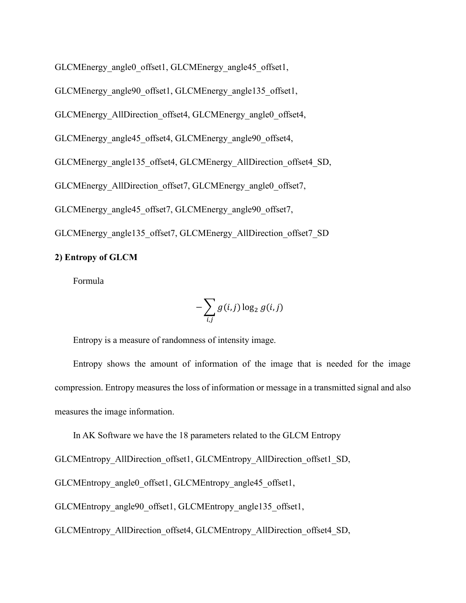GLCMEnergy angle0 offset1, GLCMEnergy angle45 offset1,

GLCMEnergy\_angle90\_offset1, GLCMEnergy\_angle135\_offset1,

GLCMEnergy\_AllDirection\_offset4, GLCMEnergy\_angle0\_offset4,

GLCMEnergy\_angle45\_offset4, GLCMEnergy\_angle90\_offset4,

GLCMEnergy\_angle135\_offset4, GLCMEnergy\_AllDirection\_offset4\_SD,

GLCMEnergy\_AllDirection\_offset7, GLCMEnergy\_angle0\_offset7,

GLCMEnergy\_angle45\_offset7, GLCMEnergy\_angle90\_offset7,

GLCMEnergy\_angle135\_offset7, GLCMEnergy\_AllDirection\_offset7\_SD

### **2) Entropy of GLCM**

Formula

$$
-\sum_{i,j} g(i,j)\log_2 g(i,j)
$$

Entropy is a measure of randomness of intensity image.

Entropy shows the amount of information of the image that is needed for the image compression. Entropy measures the loss of information or message in a transmitted signal and also measures the image information.

In AK Software we have the 18 parameters related to the GLCM Entropy

GLCMEntropy\_AllDirection\_offset1, GLCMEntropy\_AllDirection\_offset1\_SD,

GLCMEntropy\_angle0\_offset1, GLCMEntropy\_angle45\_offset1,

GLCMEntropy\_angle90\_offset1, GLCMEntropy\_angle135\_offset1,

GLCMEntropy\_AllDirection\_offset4, GLCMEntropy\_AllDirection\_offset4\_SD,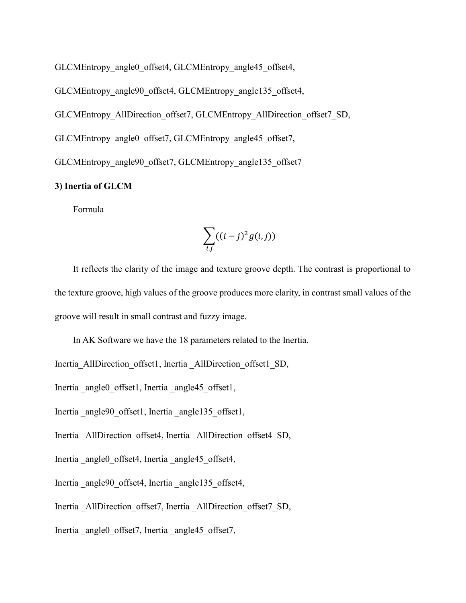GLCMEntropy\_angle0\_offset4, GLCMEntropy\_angle45\_offset4,

GLCMEntropy\_angle90\_offset4, GLCMEntropy\_angle135\_offset4,

GLCMEntropy\_AllDirection\_offset7, GLCMEntropy\_AllDirection\_offset7\_SD,

GLCMEntropy\_angle0\_offset7, GLCMEntropy\_angle45\_offset7,

GLCMEntropy\_angle90\_offset7, GLCMEntropy\_angle135\_offset7

### **3) Inertia of GLCM**

Formula

$$
\sum_{i,j}((i-j)^2g(i,j))
$$

It reflects the clarity of the image and texture groove depth. The contrast is proportional to the texture groove, high values of the groove produces more clarity, in contrast small values of the groove will result in small contrast and fuzzy image.

In AK Software we have the 18 parameters related to the Inertia.

Inertia AllDirection offset1, Inertia AllDirection offset1 SD,

Inertia angle0 offset1, Inertia angle45 offset1,

Inertia angle90 offset1, Inertia angle135 offset1,

Inertia AllDirection offset4, Inertia AllDirection offset4 SD,

Inertia angle0 offset4, Inertia angle45 offset4,

Inertia angle90 offset4, Inertia angle135 offset4,

Inertia AllDirection offset7, Inertia AllDirection offset7 SD,

Inertia angle0 offset7, Inertia angle45 offset7,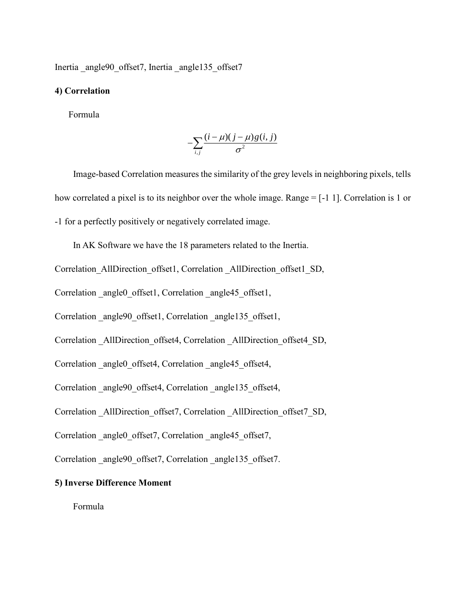Inertia angle90 offset7, Inertia angle135 offset7

### **4) Correlation**

Formula

$$
-\sum_{i,j}\frac{(i-\mu)(j-\mu)g(i,j)}{\sigma^2}
$$

 Image-based Correlation measures the similarity of the grey levels in neighboring pixels, tells how correlated a pixel is to its neighbor over the whole image. Range = [-1 1]. Correlation is 1 or -1 for a perfectly positively or negatively correlated image.

In AK Software we have the 18 parameters related to the Inertia.

Correlation\_AllDirection\_offset1, Correlation\_AllDirection\_offset1\_SD,

Correlation angle0 offset1, Correlation angle45 offset1,

Correlation angle90 offset1, Correlation angle135 offset1,

Correlation \_AllDirection\_offset4, Correlation \_AllDirection\_offset4\_SD,

Correlation angle0 offset4, Correlation angle45 offset4,

Correlation angle90 offset4, Correlation angle135 offset4,

Correlation \_AllDirection\_offset7, Correlation \_AllDirection\_offset7\_SD,

Correlation angle0 offset7, Correlation angle45 offset7,

Correlation angle90 offset7, Correlation angle135 offset7.

## **5) Inverse Difference Moment**

Formula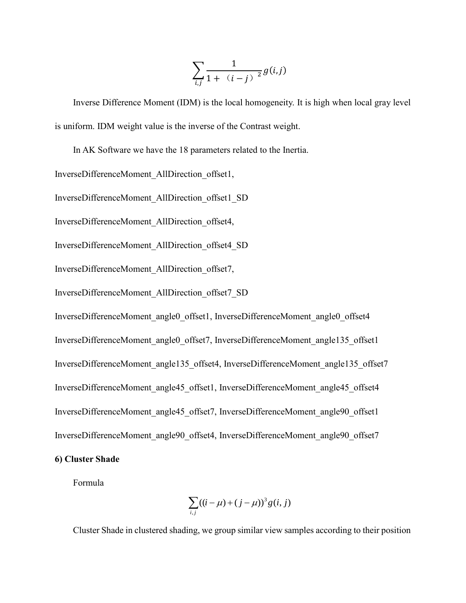$$
\sum_{i,j}\frac{1}{1+\left|(i-j)\right|^2}g(i,j)
$$

Inverse Difference Moment (IDM) is the local homogeneity. It is high when local gray level is uniform. IDM weight value is the inverse of the Contrast weight.

In AK Software we have the 18 parameters related to the Inertia.

InverseDifferenceMoment\_AllDirection\_offset1,

InverseDifferenceMoment\_AllDirection\_offset1\_SD

InverseDifferenceMoment\_AllDirection\_offset4,

InverseDifferenceMoment\_AllDirection\_offset4\_SD

InverseDifferenceMoment\_AllDirection\_offset7,

InverseDifferenceMoment\_AllDirection\_offset7\_SD

InverseDifferenceMoment\_angle0\_offset1, InverseDifferenceMoment\_angle0\_offset4 InverseDifferenceMoment\_angle0\_offset7, InverseDifferenceMoment\_angle135\_offset1 InverseDifferenceMoment\_angle135\_offset4, InverseDifferenceMoment\_angle135\_offset7 InverseDifferenceMoment\_angle45\_offset1, InverseDifferenceMoment\_angle45\_offset4 InverseDifferenceMoment\_angle45\_offset7, InverseDifferenceMoment\_angle90\_offset1 InverseDifferenceMoment\_angle90\_offset4, InverseDifferenceMoment\_angle90\_offset7

**6) Cluster Shade**

Formula

$$
\sum_{i,j} ((i - \mu) + (j - \mu))^3 g(i, j)
$$

Cluster Shade in clustered shading, we group similar view samples according to their position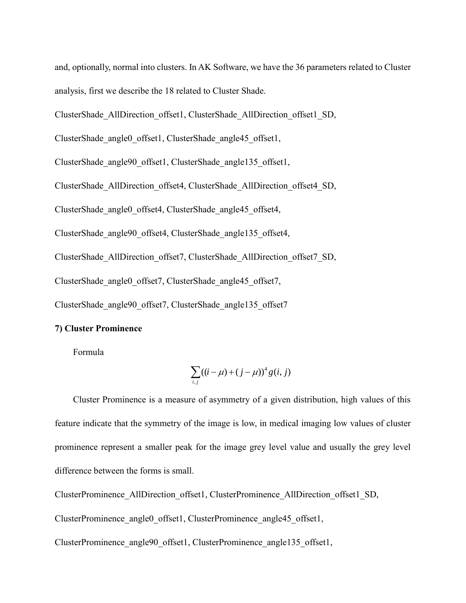and, optionally, normal into clusters. In AK Software, we have the 36 parameters related to Cluster analysis, first we describe the 18 related to Cluster Shade.

ClusterShade\_AllDirection\_offset1, ClusterShade\_AllDirection\_offset1\_SD,

ClusterShade\_angle0\_offset1, ClusterShade\_angle45\_offset1,

ClusterShade\_angle90\_offset1, ClusterShade\_angle135\_offset1,

ClusterShade\_AllDirection\_offset4, ClusterShade\_AllDirection\_offset4\_SD,

ClusterShade\_angle0\_offset4, ClusterShade\_angle45\_offset4,

ClusterShade\_angle90\_offset4, ClusterShade\_angle135\_offset4,

ClusterShade\_AllDirection\_offset7, ClusterShade\_AllDirection\_offset7\_SD,

ClusterShade\_angle0\_offset7, ClusterShade\_angle45\_offset7,

ClusterShade\_angle90\_offset7, ClusterShade\_angle135\_offset7

### **7) Cluster Prominence**

Formula

$$
\sum_{i,j} ((i - \mu) + (j - \mu))^{4} g(i, j)
$$

Cluster Prominence is a measure of asymmetry of a given distribution, high values of this feature indicate that the symmetry of the image is low, in medical imaging low values of cluster prominence represent a smaller peak for the image grey level value and usually the grey level difference between the forms is small.

ClusterProminence\_AllDirection\_offset1, ClusterProminence\_AllDirection\_offset1\_SD,

ClusterProminence angle0 offset1, ClusterProminence angle45 offset1,

ClusterProminence\_angle90\_offset1, ClusterProminence\_angle135\_offset1,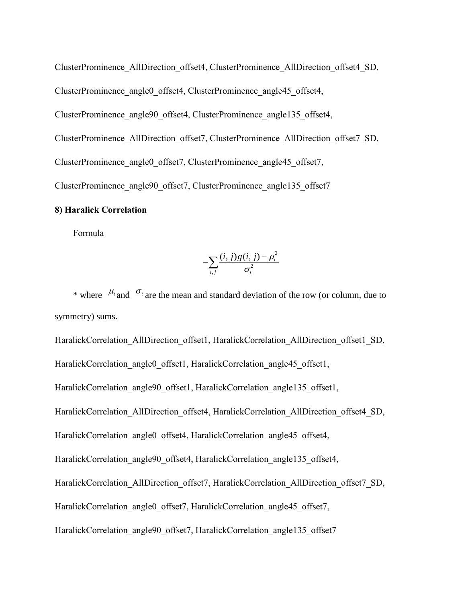ClusterProminence\_AllDirection\_offset4, ClusterProminence\_AllDirection\_offset4\_SD, ClusterProminence\_angle0\_offset4, ClusterProminence\_angle45\_offset4, ClusterProminence\_angle90\_offset4, ClusterProminence\_angle135\_offset4, ClusterProminence\_AllDirection\_offset7, ClusterProminence\_AllDirection\_offset7\_SD, ClusterProminence\_angle0\_offset7, ClusterProminence\_angle45\_offset7, ClusterProminence angle90 offset7, ClusterProminence angle135 offset7

## **8) Haralick Correlation**

Formula

$$
-\!\sum_{i,j}\!\frac{(i,j)\hskip.03cm g(i,j)\hskip.03cm-\hskip.03cm\mu^2_t}{\sigma^2_t}\!
$$

\* where  $\mu_t$  and  $\sigma_t$  are the mean and standard deviation of the row (or column, due to symmetry) sums.

HaralickCorrelation\_AllDirection\_offset1, HaralickCorrelation\_AllDirection\_offset1\_SD, HaralickCorrelation\_angle0\_offset1, HaralickCorrelation\_angle45\_offset1, HaralickCorrelation\_angle90\_offset1, HaralickCorrelation\_angle135\_offset1, HaralickCorrelation\_AllDirection\_offset4, HaralickCorrelation\_AllDirection\_offset4\_SD, HaralickCorrelation\_angle0\_offset4, HaralickCorrelation\_angle45\_offset4, HaralickCorrelation\_angle90\_offset4, HaralickCorrelation\_angle135\_offset4, HaralickCorrelation\_AllDirection\_offset7, HaralickCorrelation\_AllDirection\_offset7\_SD, HaralickCorrelation\_angle0\_offset7, HaralickCorrelation\_angle45\_offset7, HaralickCorrelation\_angle90\_offset7, HaralickCorrelation\_angle135\_offset7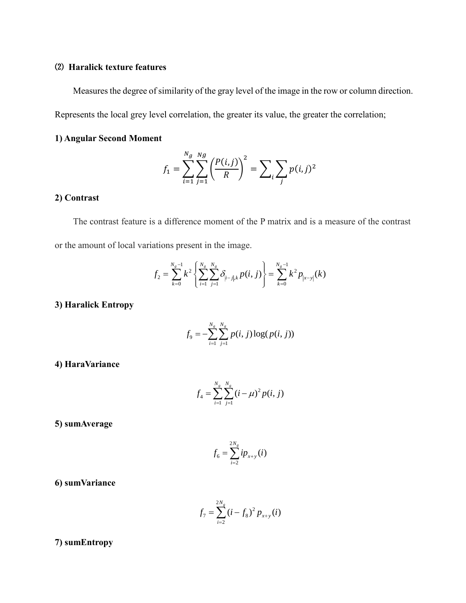## ⑵ **Haralick texture features**

Measures the degree of similarity of the gray level of the image in the row or column direction.

Represents the local grey level correlation, the greater its value, the greater the correlation;

## **1) Angular Second Moment**

$$
f_1 = \sum_{i=1}^{N_g} \sum_{j=1}^{N_g} \left( \frac{P(i,j)}{R} \right)^2 = \sum_i \sum_j p(i,j)^2
$$

## **2) Contrast**

The contrast feature is a difference moment of the P matrix and is a measure of the contrast or the amount of local variations present in the image.

$$
f_2 = \sum_{k=0}^{N_g-1} k^2 \left\{ \sum_{i=1}^{N_g} \sum_{j=1}^{N_g} \delta_{|i-j|,k} p(i,j) \right\} = \sum_{k=0}^{N_g-1} k^2 p_{|x-y|}(k)
$$

## **3) Haralick Entropy**

$$
f_9 = -\sum_{i=1}^{N_g} \sum_{j=1}^{N_g} p(i, j) \log(p(i, j))
$$

**4) HaraVariance**

$$
f_4 = \sum_{i=1}^{N_g} \sum_{j=1}^{N_g} (i - \mu)^2 p(i, j)
$$

**5) sumAverage**

$$
f_6 = \sum_{i=2}^{2N_g} i p_{x+y}(i)
$$

**6) sumVariance**

$$
f_7 = \sum_{i=2}^{2N_g} (i - f_8)^2 p_{x+y}(i)
$$

**7) sumEntropy**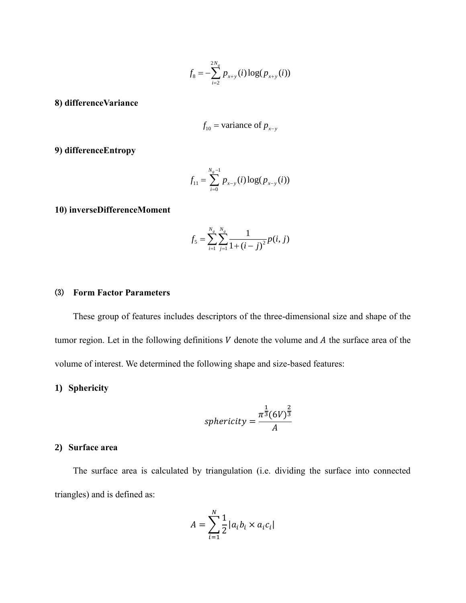$$
f_8 = -\sum_{i=2}^{2N_g} p_{x+y}(i) \log(p_{x+y}(i))
$$

**8) differenceVariance**

$$
f_{10}
$$
 = variance of  $p_{x-y}$ 

**9) differenceEntropy**

$$
f_{11} = \sum_{i=0}^{N_g-1} p_{x-y}(i) \log(p_{x-y}(i))
$$

## **10) inverseDifferenceMoment**

$$
f_5 = \sum_{i=1}^{N_g} \sum_{j=1}^{N_g} \frac{1}{1 + (i - j)^2} p(i, j)
$$

#### ⑶ **Form Factor Parameters**

These group of features includes descriptors of the three-dimensional size and shape of the tumor region. Let in the following definitions  $V$  denote the volume and  $A$  the surface area of the volume of interest. We determined the following shape and size-based features:

## **1) Sphericity**

$$
sphericity = \frac{\pi^{\frac{1}{3}} (6V)^{\frac{2}{3}}}{A}
$$

#### **2) Surface area**

The surface area is calculated by triangulation (i.e. dividing the surface into connected triangles) and is defined as:

$$
A = \sum_{i=1}^{N} \frac{1}{2} |a_i b_i \times a_i c_i|
$$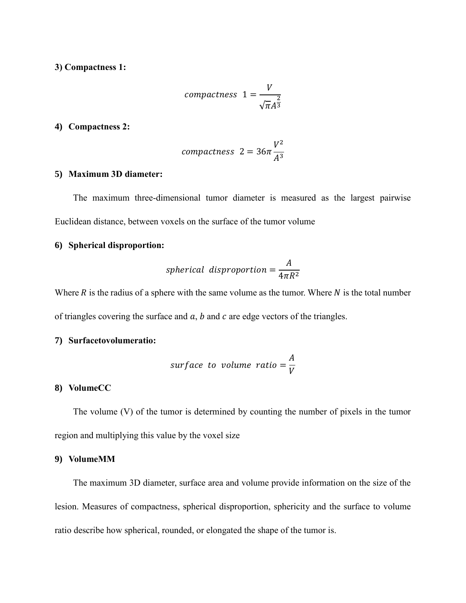## **3) Compactness 1:**

$$
compactness \t1 = \frac{V}{\sqrt{\pi}A^{\frac{2}{3}}}
$$

### **4) Compactness 2:**

$$
compactness \ 2 = 36\pi \frac{V^2}{A^3}
$$

## **5) Maximum 3D diameter:**

The maximum three-dimensional tumor diameter is measured as the largest pairwise Euclidean distance, between voxels on the surface of the tumor volume

#### **6) Spherical disproportion:**

$$
spherical \; disproportion = \frac{A}{4\pi R^2}
$$

Where  $R$  is the radius of a sphere with the same volume as the tumor. Where  $N$  is the total number of triangles covering the surface and  $a$ ,  $b$  and  $c$  are edge vectors of the triangles.

## **7) Surfacetovolumeratio:**

surface to volume ratio = 
$$
\frac{A}{V}
$$

## **8) VolumeCC**

The volume (V) of the tumor is determined by counting the number of pixels in the tumor region and multiplying this value by the voxel size

## **9) VolumeMM**

The maximum 3D diameter, surface area and volume provide information on the size of the lesion. Measures of compactness, spherical disproportion, sphericity and the surface to volume ratio describe how spherical, rounded, or elongated the shape of the tumor is.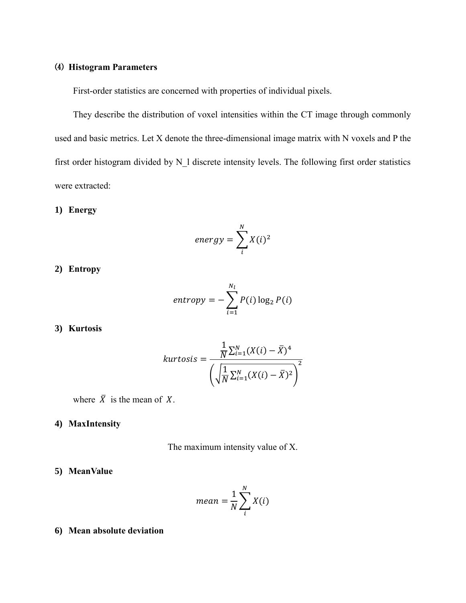## ⑷ **Histogram Parameters**

First-order statistics are concerned with properties of individual pixels.

They describe the distribution of voxel intensities within the CT image through commonly used and basic metrics. Let X denote the three-dimensional image matrix with N voxels and P the first order histogram divided by N\_l discrete intensity levels. The following first order statistics were extracted:

## **1) Energy**

$$
energy = \sum_{i}^{N} X(i)^2
$$

**2) Entropy**

$$
entropy = -\sum_{i=1}^{N_l} P(i) \log_2 P(i)
$$

## **3) Kurtosis**

$$
kurtosis = \frac{\frac{1}{N} \sum_{i=1}^{N} (X(i) - \overline{X})^4}{\left(\sqrt{\frac{1}{N} \sum_{i=1}^{N} (X(i) - \overline{X})^2}\right)^2}
$$

where  $\overline{X}$  is the mean of X.

## **4) MaxIntensity**

The maximum intensity value of X.

### **5) MeanValue**

$$
mean = \frac{1}{N} \sum_{i}^{N} X(i)
$$

### **6) Mean absolute deviation**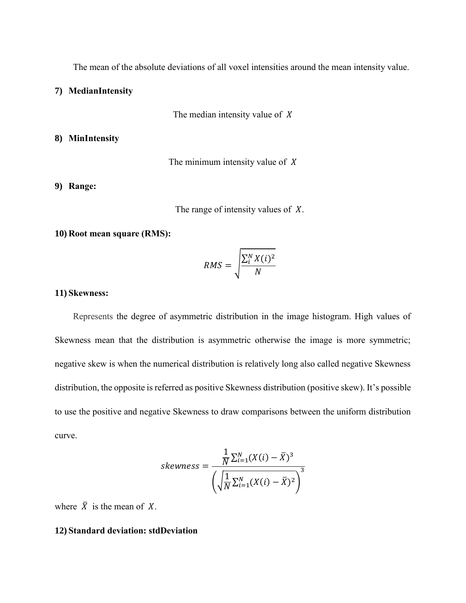The mean of the absolute deviations of all voxel intensities around the mean intensity value.

**7) MedianIntensity**

The median intensity value of  $X$ 

**8) MinIntensity**

The minimum intensity value of  $X$ 

## **9) Range:**

The range of intensity values of  $X$ .

#### **10) Root mean square (RMS):**

$$
RMS = \sqrt{\frac{\sum_{i}^{N} X(i)^2}{N}}
$$

#### **11) Skewness:**

Represents the degree of asymmetric distribution in the image histogram. High values of Skewness mean that the distribution is asymmetric otherwise the image is more symmetric; negative skew is when the numerical distribution is relatively long also called negative Skewness distribution, the opposite is referred as positive Skewness distribution (positive skew). It's possible to use the positive and negative Skewness to draw comparisons between the uniform distribution curve.

$$
skewness = \frac{\frac{1}{N} \sum_{i=1}^{N} (X(i) - \overline{X})^3}{\left(\sqrt{\frac{1}{N} \sum_{i=1}^{N} (X(i) - \overline{X})^2}\right)^3}
$$

where  $\bar{X}$  is the mean of X.

### **12) Standard deviation: stdDeviation**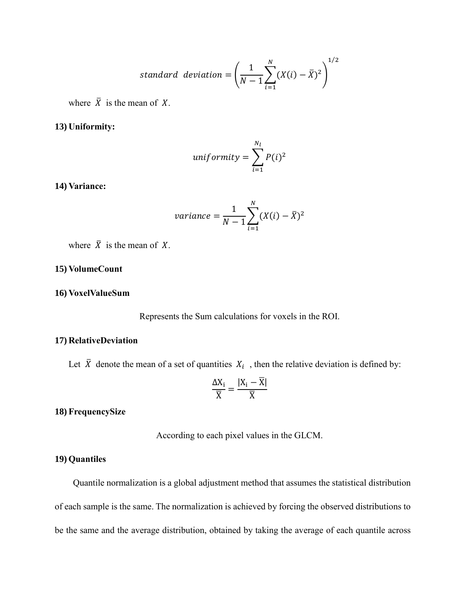standard deviation 
$$
=\left(\frac{1}{N-1}\sum_{i=1}^{N}(X(i)-\bar{X})^2\right)^{1/2}
$$

where  $\overline{X}$  is the mean of X.

#### **13) Uniformity:**

$$
uniformity = \sum_{i=1}^{N_l} P(i)^2
$$

## **14) Variance:**

variance = 
$$
\frac{1}{N-1} \sum_{i=1}^{N} (X(i) - \bar{X})^2
$$

where  $\overline{X}$  is the mean of X.

## **15) VolumeCount**

#### **16) VoxelValueSum**

Represents the Sum calculations for voxels in the ROI.

### **17) RelativeDeviation**

Let  $\bar{X}$  denote the [mean](http://mathworld.wolfram.com/Mean.html) of a [set](http://mathworld.wolfram.com/Set.html) of quantities  $X_i$ , then the relative deviation is defined by:

$$
\frac{\Delta X_i}{\overline{X}}=\frac{|X_i-\overline{X}|}{\overline{X}}
$$

**18) FrequencySize**

According to each pixel values in the GLCM.

### **19) Quantiles**

Quantile normalization is a global adjustment method that assumes the statistical distribution of each sample is the same. The normalization is achieved by forcing the observed distributions to be the same and the average distribution, obtained by taking the average of each quantile across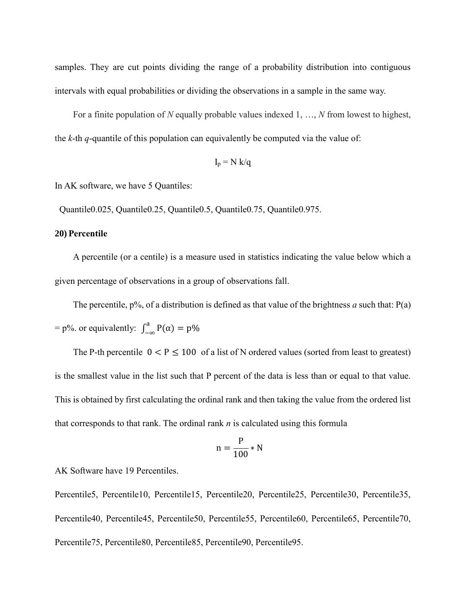samples. They are cut points dividing the range of a probability distribution into contiguous intervals with equal probabilities or dividing the observations in a sample in the same way.

For a finite population of *N* equally probable values indexed 1, …, *N* from lowest to highest, the *k*-th *q*-quantile of this population can equivalently be computed via the value of:

$$
I_p = N k/q
$$

In AK software, we have 5 Quantiles:

Quantile0.025, Quantile0.25, Quantile0.5, Quantile0.75, Quantile0.975.

#### **20) Percentile**

A percentile (or a centile) is a measure used in statistics indicating the value below which a given percentage of observations in a group of observations fall.

The percentile,  $p\%$ , of a distribution is defined as that value of the brightness *a* such that:  $P(a)$  $=$  p%. or equivalently:  $\int_{-\infty}^{a} P(\alpha) = p\%$ 

The P-th percentile  $0 < P \le 100$  of a list of N ordered values (sorted from least to greatest) is the smallest value in the list such that P percent of the data is less than or equal to that value. This is obtained by first calculating the ordinal rank and then taking the value from the ordered list that corresponds to that rank. The ordinal rank *n* is calculated using this formula

$$
n = \frac{P}{100} * N
$$

AK Software have 19 Percentiles.

Percentile5, Percentile10, Percentile15, Percentile20, Percentile25, Percentile30, Percentile35, Percentile40, Percentile45, Percentile50, Percentile55, Percentile60, Percentile65, Percentile70, Percentile75, Percentile80, Percentile85, Percentile90, Percentile95.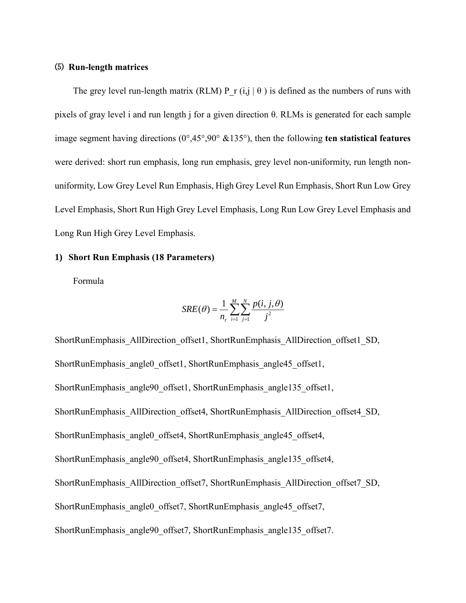## ⑸ **Run-length matrices**

The grey level run-length matrix (RLM) P r (i,j  $\vert \theta$ ) is defined as the numbers of runs with pixels of gray level i and run length j for a given direction θ. RLMs is generated for each sample image segment having directions (0°,45°,90° &135°), then the following **ten statistical features** were derived: short run emphasis, long run emphasis, grey level non-uniformity, run length nonuniformity, Low Grey Level Run Emphasis, High Grey Level Run Emphasis, Short Run Low Grey Level Emphasis, Short Run High Grey Level Emphasis, Long Run Low Grey Level Emphasis and Long Run High Grey Level Emphasis.

## **1) Short Run Emphasis (18 Parameters)**

Formula

$$
SRE(\theta) = \frac{1}{n_r} \sum_{i=1}^{M} \sum_{j=1}^{N} \frac{p(i, j, \theta)}{j^2}
$$

ShortRunEmphasis\_AllDirection\_offset1, ShortRunEmphasis\_AllDirection\_offset1\_SD, ShortRunEmphasis\_angle0\_offset1, ShortRunEmphasis\_angle45\_offset1, ShortRunEmphasis\_angle90\_offset1, ShortRunEmphasis\_angle135\_offset1, ShortRunEmphasis\_AllDirection\_offset4, ShortRunEmphasis\_AllDirection\_offset4\_SD, ShortRunEmphasis\_angle0\_offset4, ShortRunEmphasis\_angle45\_offset4, ShortRunEmphasis\_angle90\_offset4, ShortRunEmphasis\_angle135\_offset4, ShortRunEmphasis\_AllDirection\_offset7, ShortRunEmphasis\_AllDirection\_offset7\_SD, ShortRunEmphasis\_angle0\_offset7, ShortRunEmphasis\_angle45\_offset7, ShortRunEmphasis\_angle90\_offset7, ShortRunEmphasis\_angle135\_offset7.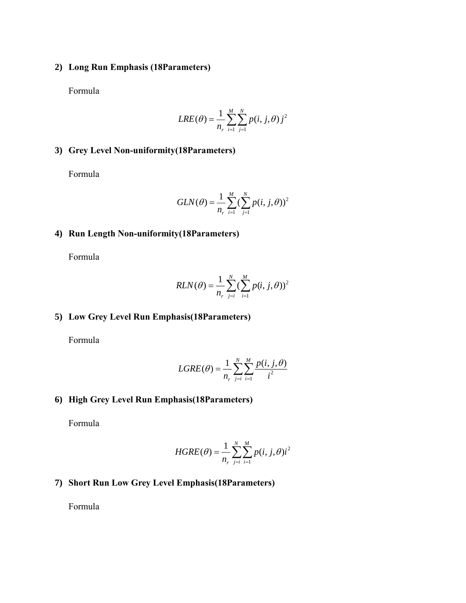## **2) Long Run Emphasis (18Parameters)**

Formula

$$
LRE(\theta) = \frac{1}{n_r} \sum_{i=1}^{M} \sum_{j=1}^{N} p(i, j, \theta) j^2
$$

## **3) Grey Level Non-uniformity(18Parameters)**

Formula

$$
GLN(\theta) = \frac{1}{n_r} \sum_{i=1}^{M} (\sum_{j=1}^{N} p(i, j, \theta))^2
$$

## **4) Run Length Non-uniformity(18Parameters)**

Formula

$$
RLN(\theta) = \frac{1}{n_r} \sum_{j=i}^{N} (\sum_{i=1}^{M} p(i, j, \theta))^2
$$

## **5) Low Grey Level Run Emphasis(18Parameters)**

Formula

$$
LGRE(\theta) = \frac{1}{n_r} \sum_{j=i}^{N} \sum_{i=1}^{M} \frac{p(i, j, \theta)}{i^2}
$$

# **6) High Grey Level Run Emphasis(18Parameters)**

Formula

$$
HGRE(\theta) = \frac{1}{n_r} \sum_{j=i}^{N} \sum_{i=1}^{M} p(i, j, \theta) i^2
$$

# **7) Short Run Low Grey Level Emphasis(18Parameters)**

Formula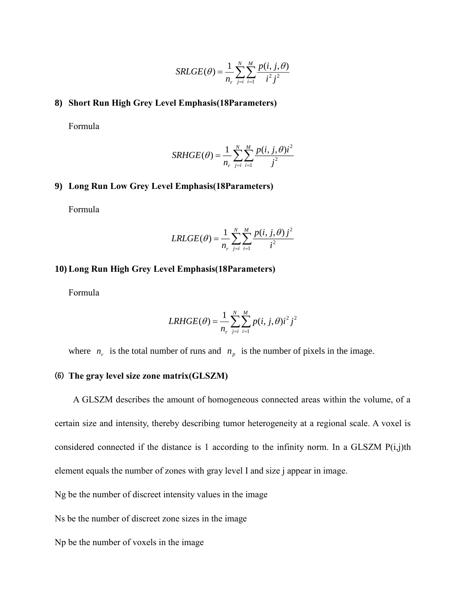$$
SRLGE(\theta) = \frac{1}{n_r} \sum_{j=i}^{N} \sum_{i=1}^{M} \frac{p(i, j, \theta)}{i^2 j^2}
$$

## **8) Short Run High Grey Level Emphasis(18Parameters)**

Formula

$$
SRHGE(\theta) = \frac{1}{n_r} \sum_{j=i}^{N} \sum_{i=1}^{M} \frac{p(i, j, \theta)i^2}{j^2}
$$

## **9) Long Run Low Grey Level Emphasis(18Parameters)**

Formula

$$
LRLGE(\theta) = \frac{1}{n_r} \sum_{j=i}^{N} \sum_{i=1}^{M} \frac{p(i, j, \theta) j^2}{i^2}
$$

#### **10) Long Run High Grey Level Emphasis(18Parameters)**

Formula

$$
LRHGE(\theta) = \frac{1}{n_r} \sum_{j=i}^{N} \sum_{i=1}^{M} p(i, j, \theta) i^2 j^2
$$

where  $n_r$  is the total number of runs and  $n_p$  is the number of pixels in the image.

## ⑹ **The gray level size zone matrix(GLSZM)**

A GLSZM describes the amount of homogeneous connected areas within the volume, of a certain size and intensity, thereby describing tumor heterogeneity at a regional scale. A voxel is considered connected if the distance is 1 according to the infinity norm. In a GLSZM  $P(i,j)$ th element equals the number of zones with gray level I and size j appear in image.

Ng be the number of discreet intensity values in the image

Ns be the number of discreet zone sizes in the image

Np be the number of voxels in the image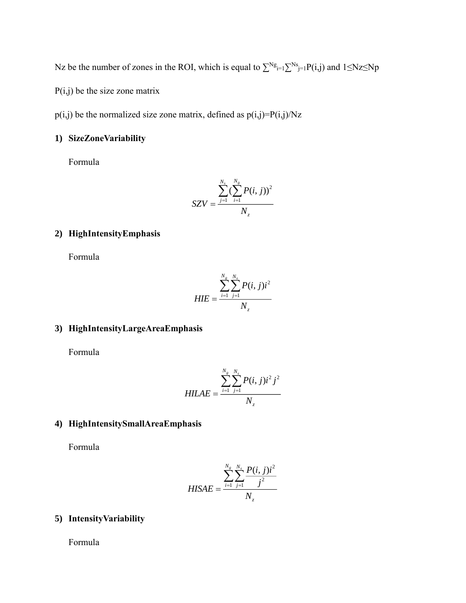Nz be the number of zones in the ROI, which is equal to  $\sum^{\text{Ng}}_{i=1} \sum^{\text{Ns}}_{j=1} P(i,j)$  and  $1 \leq \text{Nz} \leq \text{Np}$ 

 $P(i,j)$  be the size zone matrix

 $p(i,j)$  be the normalized size zone matrix, defined as  $p(i,j)=P(i,j)/Nz$ 

## **1) SizeZoneVariability**

Formula

$$
SZV = \frac{\sum_{j=1}^{N_s} (\sum_{i=1}^{N_g} P(i, j))^2}{N_z}
$$

## **2) HighIntensityEmphasis**

Formula

$$
HIE = \frac{\sum_{i=1}^{N_g} \sum_{j=1}^{N_s} P(i, j)i^2}{N_z}
$$

# **3) HighIntensityLargeAreaEmphasis**

Formula

$$
HILAE = \frac{\sum_{i=1}^{N_s} \sum_{j=1}^{N_s} P(i, j)i^2 j^2}{N_z}
$$

## **4) HighIntensitySmallAreaEmphasis**

Formula

$$
HISAE = \frac{\sum_{i=1}^{N_s} \sum_{j=1}^{N_s} \frac{P(i, j)i^2}{j^2}}{N_z}
$$

## **5) IntensityVariability**

Formula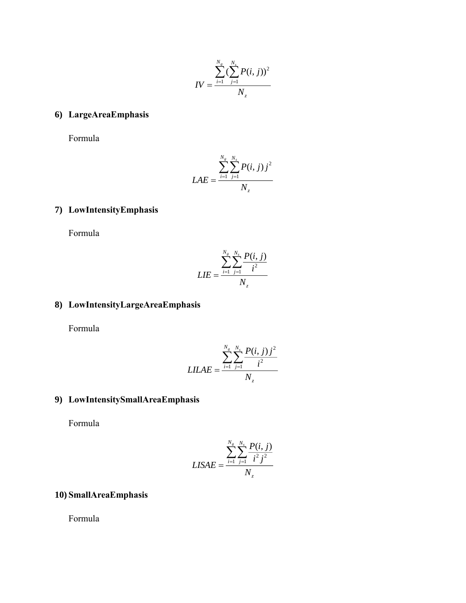$$
IV = \frac{\sum_{i=1}^{N_s} (\sum_{j=1}^{N_s} P(i, j))^2}{N_z}
$$

# **6) LargeAreaEmphasis**

Formula

$$
LAE = \frac{\sum_{i=1}^{N_s} \sum_{j=1}^{N_s} P(i, j) j^2}{N_z}
$$

# **7) LowIntensityEmphasis**

Formula

$$
LIE = \frac{\sum_{i=1}^{N_s} \sum_{j=1}^{N_s} \frac{P(i, j)}{i^2}}{N_z}
$$

# **8) LowIntensityLargeAreaEmphasis**

Formula

$$
LILAE = \frac{\sum_{i=1}^{N_s} \sum_{j=1}^{N_s} \frac{P(i, j) j^2}{i^2}}{N_z}
$$

# **9) LowIntensitySmallAreaEmphasis**

Formula

$$
LISAE = \frac{\sum_{i=1}^{N_s} \sum_{j=1}^{N_s} \frac{P(i, j)}{i^2 j^2}}{N_z}
$$

## **10) SmallAreaEmphasis**

Formula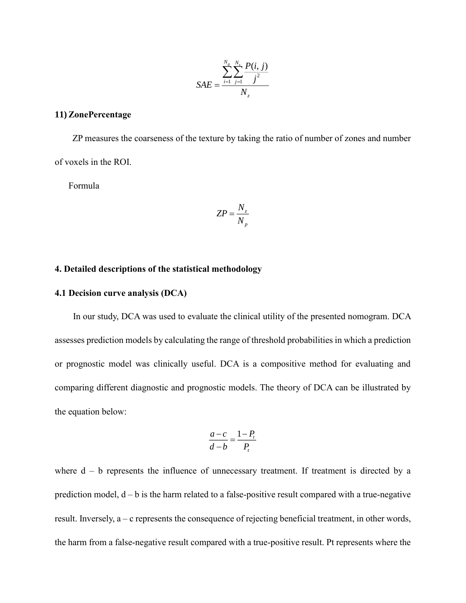$$
SAE = \frac{\sum_{i=1}^{N_s} \sum_{j=1}^{N_s} \frac{P(i, j)}{j^2}}{N_z}
$$

## **11) ZonePercentage**

ZP measures the coarseness of the texture by taking the ratio of number of zones and number of voxels in the ROI.

Formula

$$
ZP = \frac{N_z}{N_p}
$$

#### **4. Detailed descriptions of the statistical methodology**

## **4.1 Decision curve analysis (DCA)**

In our study, DCA was used to evaluate the clinical utility of the presented nomogram. DCA assesses prediction models by calculating the range of threshold probabilities in which a prediction or prognostic model was clinically useful. DCA is a compositive method for evaluating and comparing different diagnostic and prognostic models. The theory of DCA can be illustrated by the equation below:

$$
\frac{a-c}{d-b} = \frac{1-P_t}{P_t}
$$

where  $d - b$  represents the influence of unnecessary treatment. If treatment is directed by a prediction model,  $d - b$  is the harm related to a false-positive result compared with a true-negative result. Inversely, a – c represents the consequence of rejecting beneficial treatment, in other words, the harm from a false-negative result compared with a true-positive result. Pt represents where the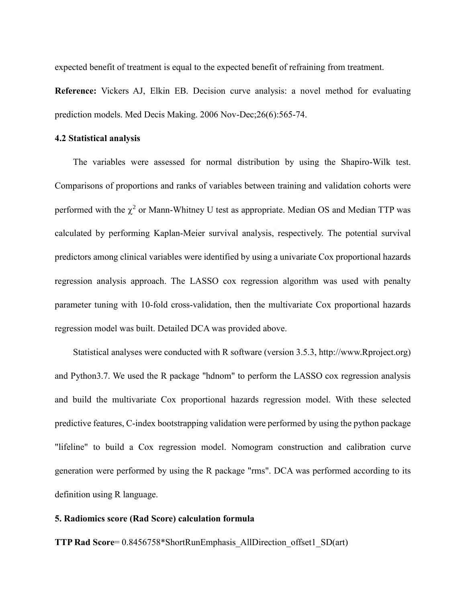expected benefit of treatment is equal to the expected benefit of refraining from treatment.

**Reference:** Vickers AJ, Elkin EB. Decision curve analysis: a novel method for evaluating prediction models. Med Decis Making. 2006 Nov-Dec;26(6):565-74.

#### **4.2 Statistical analysis**

The variables were assessed for normal distribution by using the Shapiro-Wilk test. Comparisons of proportions and ranks of variables between training and validation cohorts were performed with the  $\chi^2$  or Mann-Whitney U test as appropriate. Median OS and Median TTP was [calculated](file:///C:/Users/LiLingli/AppData/Local/youdao/dict/Application/7.5.2.0/resultui/dict/) by performing Kaplan-Meier survival analysis, [respectively.](file:///C:/Users/LiLingli/AppData/Local/youdao/dict/Application/7.5.2.0/resultui/dict/) The potential survival predictors among clinical variables were identified by using a univariate Cox proportional hazards regression analysis approach. The LASSO cox regression algorithm was used with penalty parameter tuning with 10-fold cross-validation, then the multivariate Cox proportional hazards regression model was built. Detailed DCA was provided above.

Statistical analyses were conducted with R software (version 3.5.3, http://www.Rproject.org) and Python3.7. We used the R package "hdnom" to perform the LASSO cox regression analysis and build the multivariate Cox proportional hazards regression model. With these selected predictive features, C-index bootstrapping validation were performed by using the python package "lifeline" to build a Cox regression model. Nomogram construction and calibration curve generation were performed by using the R package "rms". DCA was performed according to its definition using R language.

### **5. Radiomics score (Rad Score) calculation formula**

**TTP Rad Score**= 0.8456758\*ShortRunEmphasis\_AllDirection\_offset1\_SD(art)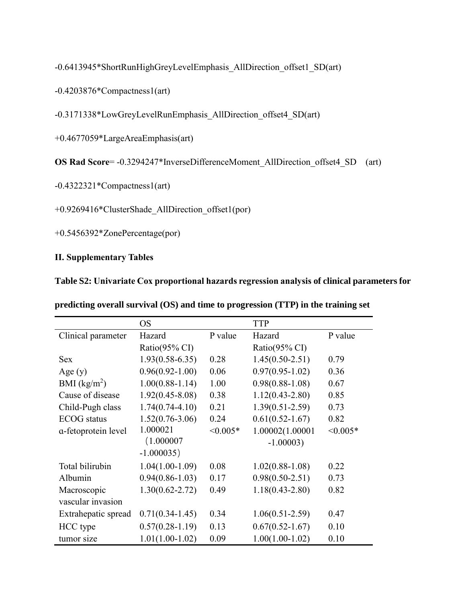-0.6413945\*ShortRunHighGreyLevelEmphasis\_AllDirection\_offset1\_SD(art)

-0.4203876\*Compactness1(art)

-0.3171338\*LowGreyLevelRunEmphasis\_AllDirection\_offset4\_SD(art)

+0.4677059\*LargeAreaEmphasis(art)

**OS Rad Score**= -0.3294247\*InverseDifferenceMoment\_AllDirection\_offset4\_SD (art)

-0.4322321\*Compactness1(art)

+0.9269416\*ClusterShade\_AllDirection\_offset1(por)

+0.5456392\*ZonePercentage(por)

## **II. Supplementary Tables**

|  | Table S2: Univariate Cox proportional hazards regression analysis of clinical parameters for |  |  |  |
|--|----------------------------------------------------------------------------------------------|--|--|--|
|--|----------------------------------------------------------------------------------------------|--|--|--|

|                     | <b>OS</b>           |            | <b>TTP</b>          |            |
|---------------------|---------------------|------------|---------------------|------------|
| Clinical parameter  | Hazard              | P value    | Hazard              | P value    |
|                     | Ratio(95% CI)       |            | Ratio(95% CI)       |            |
| <b>Sex</b>          | $1.93(0.58 - 6.35)$ | 0.28       | $1.45(0.50-2.51)$   | 0.79       |
| Age $(y)$           | $0.96(0.92 - 1.00)$ | 0.06       | $0.97(0.95 - 1.02)$ | 0.36       |
| BMI $(kg/m^2)$      | $1.00(0.88-1.14)$   | 1.00       | $0.98(0.88 - 1.08)$ | 0.67       |
| Cause of disease    | $1.92(0.45 - 8.08)$ | 0.38       | $1.12(0.43 - 2.80)$ | 0.85       |
| Child-Pugh class    | $1.74(0.74 - 4.10)$ | 0.21       | $1.39(0.51 - 2.59)$ | 0.73       |
| <b>ECOG</b> status  | $1.52(0.76 - 3.06)$ | 0.24       | $0.61(0.52 - 1.67)$ | 0.82       |
| a-fetoprotein level | 1.000021            | $< 0.005*$ | 1.00002(1.00001     | $< 0.005*$ |
|                     | (1.000007)          |            | $-1.00003$          |            |
|                     | $-1.000035$         |            |                     |            |
| Total bilirubin     | $1.04(1.00-1.09)$   | 0.08       | $1.02(0.88-1.08)$   | 0.22       |
| Albumin             | $0.94(0.86 - 1.03)$ | 0.17       | $0.98(0.50-2.51)$   | 0.73       |
| Macroscopic         | $1.30(0.62 - 2.72)$ | 0.49       | $1.18(0.43 - 2.80)$ | 0.82       |
| vascular invasion   |                     |            |                     |            |
| Extrahepatic spread | $0.71(0.34-1.45)$   | 0.34       | $1.06(0.51 - 2.59)$ | 0.47       |
| HCC type            | $0.57(0.28-1.19)$   | 0.13       | $0.67(0.52 - 1.67)$ | 0.10       |
| tumor size          | $1.01(1.00-1.02)$   | 0.09       | $1.00(1.00-1.02)$   | 0.10       |

**predicting overall survival (OS) and time to progression (TTP) in the training set**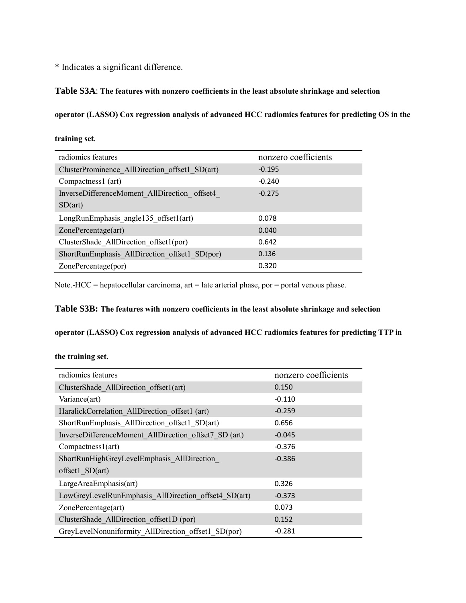\* Indicates a significant difference.

#### **Table S3A**: **The features with nonzero coefficients in the least absolute shrinkage and selection**

**operator (LASSO) Cox regression analysis of advanced HCC radiomics features for predicting OS in the** 

| radiomics features                             | nonzero coefficients |
|------------------------------------------------|----------------------|
| ClusterProminence AllDirection offset1 SD(art) | $-0.195$             |
| Compactness1 (art)                             | $-0.240$             |
| InverseDifferenceMoment AllDirection offset4   | $-0.275$             |
| SD(art)                                        |                      |
| LongRunEmphasis angle135 offset1(art)          | 0.078                |
| ZonePercentage(art)                            | 0.040                |
| ClusterShade AllDirection offset1(por)         | 0.642                |
| ShortRunEmphasis AllDirection offset1 SD(por)  | 0.136                |
| ZonePercentage(por)                            | 0.320                |

**training set**.

Note.-HCC = hepatocellular carcinoma, art = late arterial phase, por = portal venous phase.

# **Table S3B: The features with nonzero coefficients in the least absolute shrinkage and selection**

**operator (LASSO) Cox regression analysis of advanced HCC radiomics features for predicting TTP in** 

**the training set**.

| radiomics features                                    | nonzero coefficients |
|-------------------------------------------------------|----------------------|
| ClusterShade AllDirection offset1(art)                | 0.150                |
| Variance(art)                                         | $-0.110$             |
| HaralickCorrelation AllDirection offset1 (art)        | $-0.259$             |
| ShortRunEmphasis AllDirection offset1 SD(art)         | 0.656                |
| InverseDifferenceMoment AllDirection offset7 SD (art) | $-0.045$             |
| Comparteness1(art)                                    | $-0.376$             |
| ShortRunHighGreyLevelEmphasis AllDirection            | $-0.386$             |
| $offset1$ SD $(art)$                                  |                      |
| LargeAreaEmphasis(art)                                | 0.326                |
| LowGreyLevelRunEmphasis AllDirection offset4 SD(art)  | $-0.373$             |
| ZonePercentage(art)                                   | 0.073                |
| ClusterShade AllDirection offset1D (por)              | 0.152                |
| GreyLevelNonuniformity AllDirection offset1 SD(por)   | $-0.281$             |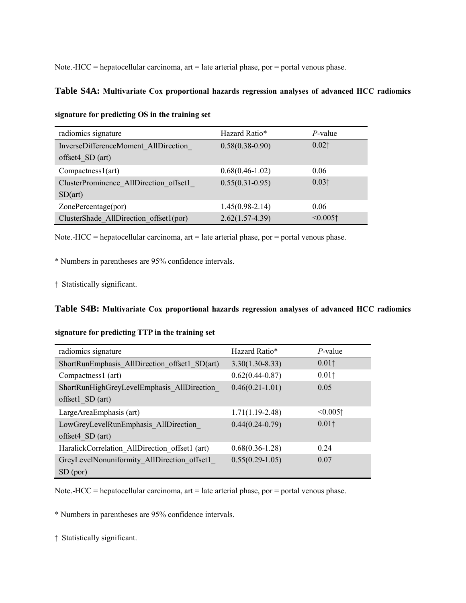Note.-HCC = hepatocellular carcinoma, art = late arterial phase, por = portal venous phase.

#### **Table S4A: Multivariate Cox proportional hazards regression analyses of advanced HCC radiomics**

| radiomics signature                    | Hazard Ratio*       | $P$ -value                |
|----------------------------------------|---------------------|---------------------------|
| InverseDifferenceMoment AllDirection   | $0.58(0.38-0.90)$   | $0.02$ †                  |
| offset $4$ SD (art)                    |                     |                           |
| Comparness1 (art)                      | $0.68(0.46 - 1.02)$ | 0.06                      |
| ClusterProminence AllDirection offset1 | $0.55(0.31-0.95)$   | $0.03\dagger$             |
| SD(art)                                |                     |                           |
| ZonePercentage(por)                    | $1.45(0.98-2.14)$   | 0.06                      |
| ClusterShade AllDirection offset1(por) | $2.62(1.57-4.39)$   | $\leq 0.005$ <sup>+</sup> |

**signature for predicting OS in the training set**

Note.-HCC = hepatocellular carcinoma, art = late arterial phase, por = portal venous phase.

\* Numbers in parentheses are 95% confidence intervals.

† Statistically significant.

### **Table S4B: Multivariate Cox proportional hazards regression analyses of advanced HCC radiomics**

### **signature for predicting TTP in the training set**

| radiomics signature                            | Hazard Ratio*       | $P$ -value             |
|------------------------------------------------|---------------------|------------------------|
| ShortRunEmphasis AllDirection offset1 SD(art)  | $3.30(1.30-8.33)$   | $0.01\dagger$          |
| Compactness1 (art)                             | $0.62(0.44 - 0.87)$ | $0.01\dagger$          |
| ShortRunHighGreyLevelEmphasis AllDirection     | $0.46(0.21 - 1.01)$ | 0.05                   |
| offset $1$ SD (art)                            |                     |                        |
| LargeAreaEmphasis (art)                        | $1.71(1.19-2.48)$   | $< 0.005$ <sup>+</sup> |
| LowGreyLevelRunEmphasis AllDirection           | $0.44(0.24-0.79)$   | $0.01\dagger$          |
| offset $4$ SD (art)                            |                     |                        |
| HaralickCorrelation AllDirection offset1 (art) | $0.68(0.36 - 1.28)$ | 0.24                   |
| GreyLevelNonuniformity AllDirection offset1    | $0.55(0.29-1.05)$   | 0.07                   |
| SD (por)                                       |                     |                        |

Note.-HCC = hepatocellular carcinoma, art = late arterial phase, por = portal venous phase.

\* Numbers in parentheses are 95% confidence intervals.

† Statistically significant.